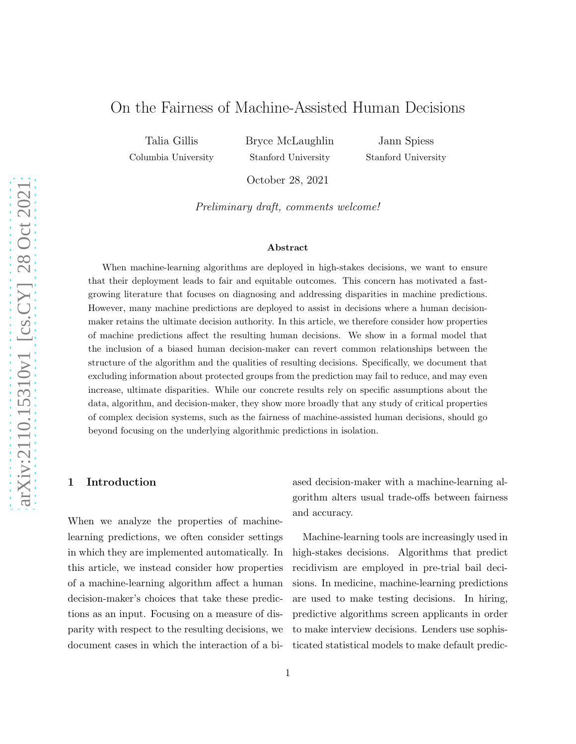# On the Fairness of Machine-Assisted Human Decisions

Talia Gillis Columbia University Bryce McLaughlin Stanford University

Jann Spiess Stanford University

October 28, 2021

Preliminary draft, comments welcome!

#### Abstract

When machine-learning algorithms are deployed in high-stakes decisions, we want to ensure that their deployment leads to fair and equitable outcomes. This concern has motivated a fastgrowing literature that focuses on diagnosing and addressing disparities in machine predictions. However, many machine predictions are deployed to assist in decisions where a human decisionmaker retains the ultimate decision authority. In this article, we therefore consider how properties of machine predictions affect the resulting human decisions. We show in a formal model that the inclusion of a biased human decision-maker can revert common relationships between the structure of the algorithm and the qualities of resulting decisions. Specifically, we document that excluding information about protected groups from the prediction may fail to reduce, and may even increase, ultimate disparities. While our concrete results rely on specific assumptions about the data, algorithm, and decision-maker, they show more broadly that any study of critical properties of complex decision systems, such as the fairness of machine-assisted human decisions, should go beyond focusing on the underlying algorithmic predictions in isolation.

## 1 Introduction

When we analyze the properties of machinelearning predictions, we often consider settings in which they are implemented automatically. In this article, we instead consider how properties of a machine-learning algorithm affect a human decision-maker's choices that take these predictions as an input. Focusing on a measure of disparity with respect to the resulting decisions, we document cases in which the interaction of a biased decision-maker with a machine-learning algorithm alters usual trade-offs between fairness and accuracy.

Machine-learning tools are increasingly used in high-stakes decisions. Algorithms that predict recidivism are employed in pre-trial bail decisions. In medicine, machine-learning predictions are used to make testing decisions. In hiring, predictive algorithms screen applicants in order to make interview decisions. Lenders use sophisticated statistical models to make default predic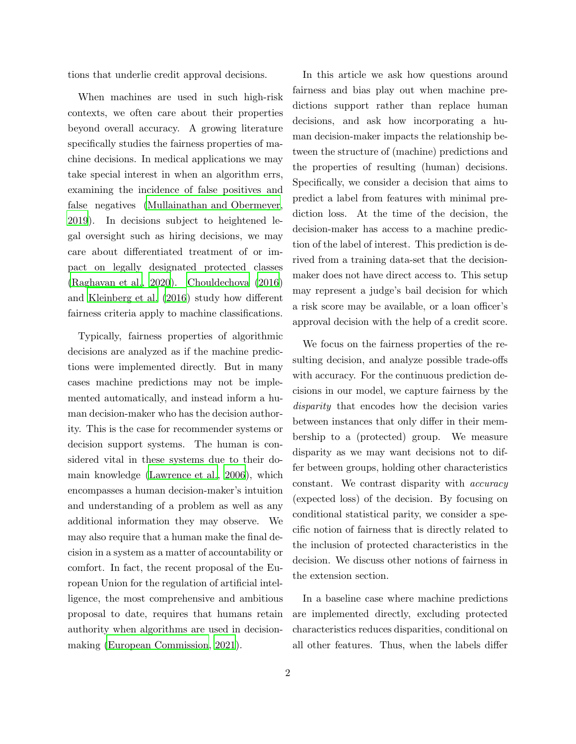tions that underlie credit approval decisions.

When machines are used in such high-risk contexts, we often care about their properties beyond overall accuracy. A growing literature specifically studies the fairness properties of machine decisions. In medical applications we may take special interest in when an algorithm errs, examining the incidence of false positives and false negatives [\(Mullainathan and Obermeyer,](#page-15-0) [2019\)](#page-15-0). In decisions subject to heightened legal oversight such as hiring decisions, we may care about differentiated treatment of or impact on legally designated protected classes [\(Raghavan et al., 2020](#page-15-1)). [Chouldechova \(2016\)](#page-14-0) and [Kleinberg et al. \(2016](#page-15-2)) study how different fairness criteria apply to machine classifications.

Typically, fairness properties of algorithmic decisions are analyzed as if the machine predictions were implemented directly. But in many cases machine predictions may not be implemented automatically, and instead inform a human decision-maker who has the decision authority. This is the case for recommender systems or decision support systems. The human is considered vital in these systems due to their domain knowledge [\(Lawrence et al.](#page-15-3), [2006](#page-15-3)), which encompasses a human decision-maker's intuition and understanding of a problem as well as any additional information they may observe. We may also require that a human make the final decision in a system as a matter of accountability or comfort. In fact, the recent proposal of the European Union for the regulation of artificial intelligence, the most comprehensive and ambitious proposal to date, requires that humans retain authority when algorithms are used in decisionmaking [\(European Commission](#page-14-1), [2021](#page-14-1)).

In this article we ask how questions around fairness and bias play out when machine predictions support rather than replace human decisions, and ask how incorporating a human decision-maker impacts the relationship between the structure of (machine) predictions and the properties of resulting (human) decisions. Specifically, we consider a decision that aims to predict a label from features with minimal prediction loss. At the time of the decision, the decision-maker has access to a machine prediction of the label of interest. This prediction is derived from a training data-set that the decisionmaker does not have direct access to. This setup may represent a judge's bail decision for which a risk score may be available, or a loan officer's approval decision with the help of a credit score.

We focus on the fairness properties of the resulting decision, and analyze possible trade-offs with accuracy. For the continuous prediction decisions in our model, we capture fairness by the disparity that encodes how the decision varies between instances that only differ in their membership to a (protected) group. We measure disparity as we may want decisions not to differ between groups, holding other characteristics constant. We contrast disparity with accuracy (expected loss) of the decision. By focusing on conditional statistical parity, we consider a specific notion of fairness that is directly related to the inclusion of protected characteristics in the decision. We discuss other notions of fairness in the extension section.

In a baseline case where machine predictions are implemented directly, excluding protected characteristics reduces disparities, conditional on all other features. Thus, when the labels differ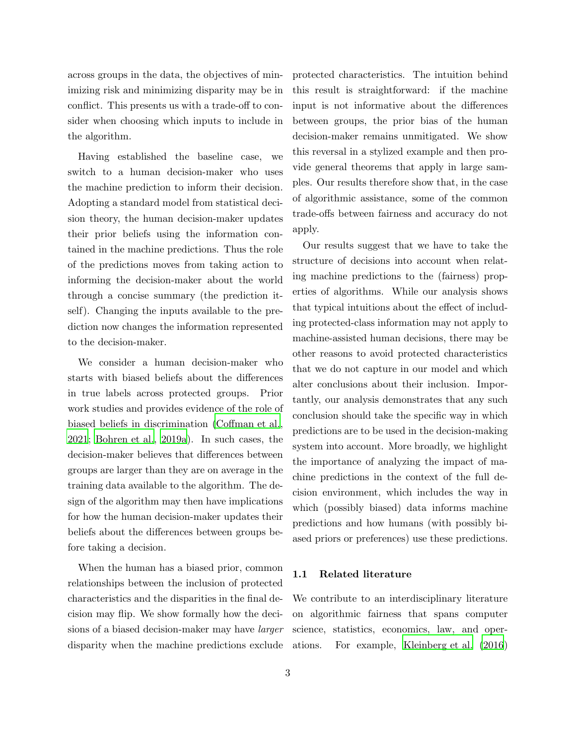across groups in the data, the objectives of minimizing risk and minimizing disparity may be in conflict. This presents us with a trade-off to consider when choosing which inputs to include in the algorithm.

Having established the baseline case, we switch to a human decision-maker who uses the machine prediction to inform their decision. Adopting a standard model from statistical decision theory, the human decision-maker updates their prior beliefs using the information contained in the machine predictions. Thus the role of the predictions moves from taking action to informing the decision-maker about the world through a concise summary (the prediction itself). Changing the inputs available to the prediction now changes the information represented to the decision-maker.

We consider a human decision-maker who starts with biased beliefs about the differences in true labels across protected groups. Prior work studies and provides evidence of the role of biased beliefs in discrimination [\(Coffman et al.,](#page-14-2) [2021;](#page-14-2) [Bohren et al., 2019a](#page-13-0)). In such cases, the decision-maker believes that differences between groups are larger than they are on average in the training data available to the algorithm. The design of the algorithm may then have implications for how the human decision-maker updates their beliefs about the differences between groups before taking a decision.

When the human has a biased prior, common relationships between the inclusion of protected characteristics and the disparities in the final decision may flip. We show formally how the decisions of a biased decision-maker may have larger disparity when the machine predictions exclude

protected characteristics. The intuition behind this result is straightforward: if the machine input is not informative about the differences between groups, the prior bias of the human decision-maker remains unmitigated. We show this reversal in a stylized example and then provide general theorems that apply in large samples. Our results therefore show that, in the case of algorithmic assistance, some of the common trade-offs between fairness and accuracy do not apply.

Our results suggest that we have to take the structure of decisions into account when relating machine predictions to the (fairness) properties of algorithms. While our analysis shows that typical intuitions about the effect of including protected-class information may not apply to machine-assisted human decisions, there may be other reasons to avoid protected characteristics that we do not capture in our model and which alter conclusions about their inclusion. Importantly, our analysis demonstrates that any such conclusion should take the specific way in which predictions are to be used in the decision-making system into account. More broadly, we highlight the importance of analyzing the impact of machine predictions in the context of the full decision environment, which includes the way in which (possibly biased) data informs machine predictions and how humans (with possibly biased priors or preferences) use these predictions.

#### 1.1 Related literature

We contribute to an interdisciplinary literature on algorithmic fairness that spans computer science, statistics, economics, law, and operations. For example, [Kleinberg et al. \(2016](#page-15-2))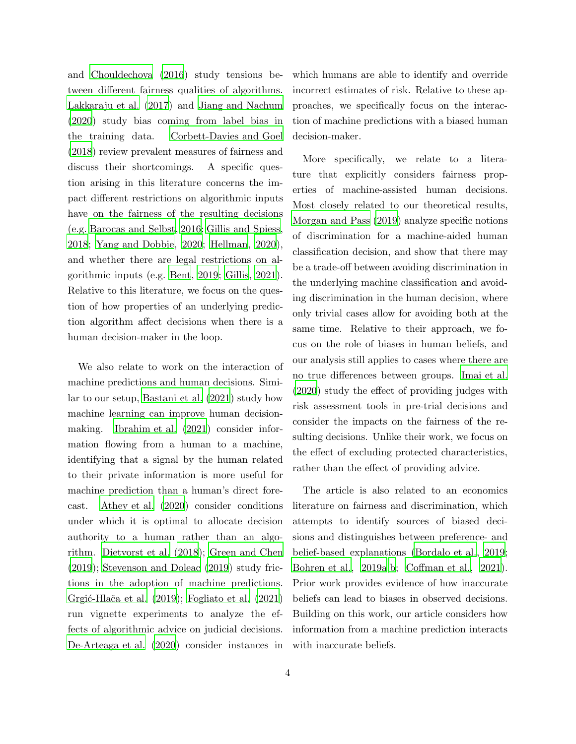and [Chouldechova \(2016](#page-14-0)) study tensions between different fairness qualities of algorithms. [Lakkaraju et al. \(2017](#page-15-4)) and [Jiang and Nachum](#page-15-5) [\(2020](#page-15-5)) study bias coming from label bias in the training data. [Corbett-Davies and Goel](#page-14-3) [\(2018](#page-14-3)) review prevalent measures of fairness and discuss their shortcomings. A specific question arising in this literature concerns the impact different restrictions on algorithmic inputs have on the fairness of the resulting decisions (e.g. [Barocas and Selbst](#page-13-1), [2016;](#page-13-1) [Gillis and Spiess,](#page-14-4) [2018;](#page-14-4) [Yang and Dobbie](#page-16-0), [2020](#page-16-0); [Hellman](#page-14-5), [2020\)](#page-14-5), and whether there are legal restrictions on algorithmic inputs (e.g. [Bent](#page-13-2), [2019](#page-13-2); [Gillis](#page-14-6), [2021\)](#page-14-6). Relative to this literature, we focus on the question of how properties of an underlying prediction algorithm affect decisions when there is a human decision-maker in the loop.

We also relate to work on the interaction of machine predictions and human decisions. Similar to our setup, [Bastani et al. \(2021\)](#page-13-3) study how machine learning can improve human decisionmaking. [Ibrahim et al. \(2021\)](#page-14-7) consider information flowing from a human to a machine, identifying that a signal by the human related to their private information is more useful for machine prediction than a human's direct forecast. [Athey et al. \(2020](#page-13-4)) consider conditions under which it is optimal to allocate decision authority to a human rather than an algorithm. [Dietvorst et al. \(2018](#page-14-8)); [Green and Chen](#page-14-9) [\(2019](#page-14-9)); [Stevenson and Doleac \(2019](#page-15-6)) study frictions in the adoption of machine predictions. Grgić-Hlača et al. (2019); [Fogliato et al. \(2021\)](#page-14-11) run vignette experiments to analyze the effects of algorithmic advice on judicial decisions. [De-Arteaga et al. \(2020\)](#page-14-12) consider instances in

4

which humans are able to identify and override incorrect estimates of risk. Relative to these approaches, we specifically focus on the interaction of machine predictions with a biased human decision-maker.

More specifically, we relate to a literature that explicitly considers fairness properties of machine-assisted human decisions. Most closely related to our theoretical results, [Morgan and Pass \(2019](#page-15-7)) analyze specific notions of discrimination for a machine-aided human classification decision, and show that there may be a trade-off between avoiding discrimination in the underlying machine classification and avoiding discrimination in the human decision, where only trivial cases allow for avoiding both at the same time. Relative to their approach, we focus on the role of biases in human beliefs, and our analysis still applies to cases where there are no true differences between groups. [Imai et al.](#page-14-13) [\(2020](#page-14-13)) study the effect of providing judges with risk assessment tools in pre-trial decisions and consider the impacts on the fairness of the resulting decisions. Unlike their work, we focus on the effect of excluding protected characteristics, rather than the effect of providing advice.

The article is also related to an economics literature on fairness and discrimination, which attempts to identify sources of biased decisions and distinguishes between preference- and belief-based explanations [\(Bordalo et al., 2019;](#page-14-14) [Bohren et al.](#page-13-0), [2019a](#page-13-0)[,b;](#page-13-5) [Coffman et al., 2021\)](#page-14-2). Prior work provides evidence of how inaccurate beliefs can lead to biases in observed decisions. Building on this work, our article considers how information from a machine prediction interacts with inaccurate beliefs.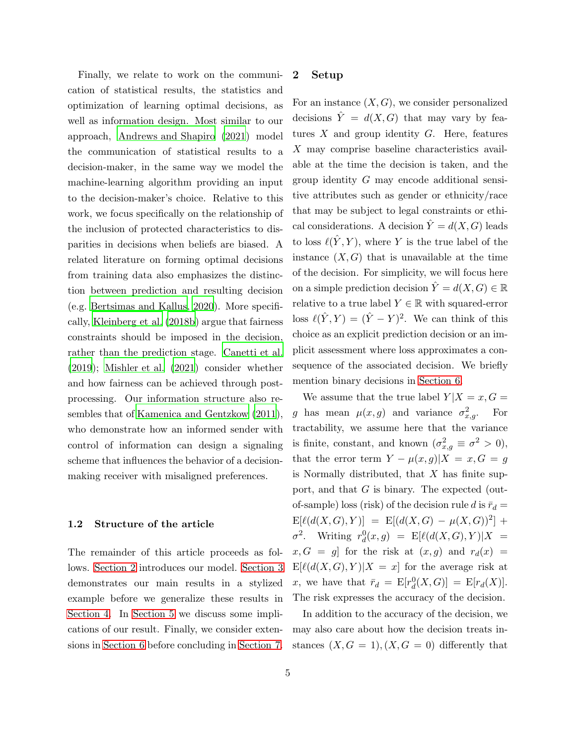Finally, we relate to work on the communication of statistical results, the statistics and optimization of learning optimal decisions, as well as information design. Most similar to our approach, [Andrews and Shapiro \(2021](#page-13-6)) model the communication of statistical results to a decision-maker, in the same way we model the machine-learning algorithm providing an input to the decision-maker's choice. Relative to this work, we focus specifically on the relationship of the inclusion of protected characteristics to disparities in decisions when beliefs are biased. A related literature on forming optimal decisions from training data also emphasizes the distinction between prediction and resulting decision (e.g. [Bertsimas and Kallus, 2020](#page-13-7)). More specifically, [Kleinberg et al. \(2018b](#page-15-8)) argue that fairness constraints should be imposed in the decision, rather than the prediction stage. [Canetti et al.](#page-14-15) [\(2019](#page-14-15)); [Mishler et al. \(2021](#page-15-9)) consider whether and how fairness can be achieved through postprocessing. Our information structure also resembles that of [Kamenica and Gentzkow \(2011\)](#page-15-10), who demonstrate how an informed sender with control of information can design a signaling scheme that influences the behavior of a decisionmaking receiver with misaligned preferences.

## 1.2 Structure of the article

<span id="page-4-0"></span>The remainder of this article proceeds as follows. [Section 2](#page-4-0) introduces our model. [Section 3](#page-6-0) demonstrates our main results in a stylized example before we generalize these results in [Section 4.](#page-8-0) In [Section 5](#page-10-0) we discuss some implications of our result. Finally, we consider extensions in [Section 6](#page-11-0) before concluding in [Section 7.](#page-13-8)

#### 2 Setup

For an instance  $(X, G)$ , we consider personalized decisions  $\hat{Y} = d(X, G)$  that may vary by features  $X$  and group identity  $G$ . Here, features X may comprise baseline characteristics available at the time the decision is taken, and the group identity G may encode additional sensitive attributes such as gender or ethnicity/race that may be subject to legal constraints or ethical considerations. A decision  $\hat{Y} = d(X, G)$  leads to loss  $\ell(\hat{Y}, Y)$ , where Y is the true label of the instance  $(X, G)$  that is unavailable at the time of the decision. For simplicity, we will focus here on a simple prediction decision  $\hat{Y} = d(X, G) \in \mathbb{R}$ relative to a true label  $Y \in \mathbb{R}$  with squared-error loss  $\ell(\hat{Y}, Y) = (\hat{Y} - Y)^2$ . We can think of this choice as an explicit prediction decision or an implicit assessment where loss approximates a consequence of the associated decision. We briefly mention binary decisions in [Section 6.](#page-11-0)

We assume that the true label  $Y|X=x, G=$ g has mean  $\mu(x,g)$  and variance  $\sigma_{x,g}^2$ . For tractability, we assume here that the variance is finite, constant, and known  $(\sigma_{x,g}^2 \equiv \sigma^2 > 0)$ , that the error term  $Y - \mu(x, g)|X = x, G = g$ is Normally distributed, that  $X$  has finite support, and that G is binary. The expected (outof-sample) loss (risk) of the decision rule d is  $\bar{r}_d =$  $E[\ell(d(X,G),Y)] = E[(d(X,G) - \mu(X,G))^2] +$  $\sigma^2$ . Writing  $r_d^0(x,g) = \mathbb{E}[\ell(d(X,G),Y)|X] =$  $x, G = g$  for the risk at  $(x, g)$  and  $r_d(x) =$  $E[\ell(d(X, G), Y)|X = x]$  for the average risk at x, we have that  $\bar{r}_d = \mathbb{E}[r_d^0(X, G)] = \mathbb{E}[r_d(X)].$ The risk expresses the accuracy of the decision.

In addition to the accuracy of the decision, we may also care about how the decision treats instances  $(X, G = 1), (X, G = 0)$  differently that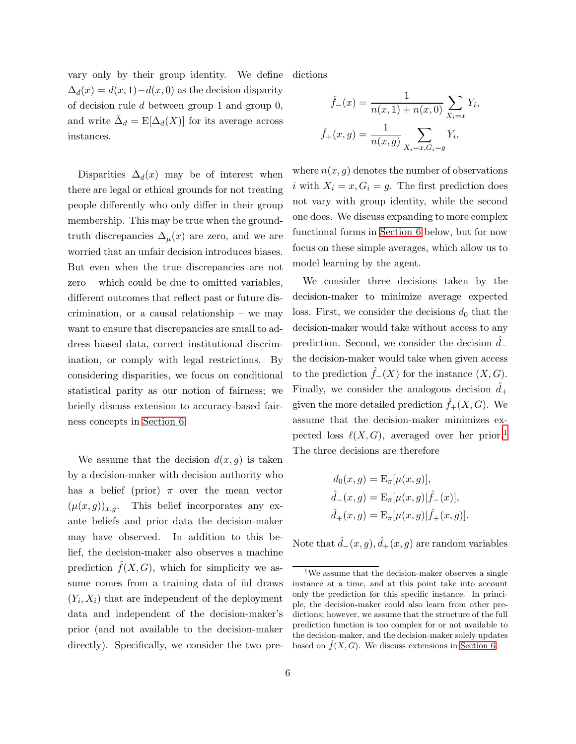vary only by their group identity. We define  $\Delta_d(x) = d(x, 1) - d(x, 0)$  as the decision disparity of decision rule d between group 1 and group 0, and write  $\bar{\Delta}_d = \mathbb{E}[\Delta_d(X)]$  for its average across instances.

Disparities  $\Delta_d(x)$  may be of interest when there are legal or ethical grounds for not treating people differently who only differ in their group membership. This may be true when the groundtruth discrepancies  $\Delta_{\mu}(x)$  are zero, and we are worried that an unfair decision introduces biases. But even when the true discrepancies are not zero – which could be due to omitted variables, different outcomes that reflect past or future discrimination, or a causal relationship – we may want to ensure that discrepancies are small to address biased data, correct institutional discrimination, or comply with legal restrictions. By considering disparities, we focus on conditional statistical parity as our notion of fairness; we briefly discuss extension to accuracy-based fairness concepts in [Section 6.](#page-11-0)

We assume that the decision  $d(x, g)$  is taken by a decision-maker with decision authority who has a belief (prior)  $\pi$  over the mean vector  $(\mu(x,g))_{x,q}$ . This belief incorporates any exante beliefs and prior data the decision-maker may have observed. In addition to this belief, the decision-maker also observes a machine prediction  $\hat{f}(X, G)$ , which for simplicity we assume comes from a training data of iid draws  $(Y_i, X_i)$  that are independent of the deployment data and independent of the decision-maker's prior (and not available to the decision-maker directly). Specifically, we consider the two pre-

dictions

$$
\hat{f}_{-}(x) = \frac{1}{n(x, 1) + n(x, 0)} \sum_{X_i = x} Y_i
$$

$$
\hat{f}_{+}(x, g) = \frac{1}{n(x, g)} \sum_{X_i = x, G_i = g} Y_i,
$$

,

where  $n(x, g)$  denotes the number of observations i with  $X_i = x, G_i = g$ . The first prediction does not vary with group identity, while the second one does. We discuss expanding to more complex functional forms in [Section 6](#page-11-0) below, but for now focus on these simple averages, which allow us to model learning by the agent.

We consider three decisions taken by the decision-maker to minimize average expected loss. First, we consider the decisions  $d_0$  that the decision-maker would take without access to any prediction. Second, we consider the decision  $d_-\$ the decision-maker would take when given access to the prediction  $f_-(X)$  for the instance  $(X, G)$ . Finally, we consider the analogous decision  $d_+$ given the more detailed prediction  $f_+(X, G)$ . We assume that the decision-maker minimizes expected loss  $\ell(X, G)$ , averaged over her prior.<sup>[1](#page-5-0)</sup> The three decisions are therefore

$$
d_0(x, g) = \mathcal{E}_{\pi}[\mu(x, g)],
$$
  

$$
\hat{d}_{-}(x, g) = \mathcal{E}_{\pi}[\mu(x, g)|\hat{f}_{-}(x)],
$$
  

$$
\hat{d}_{+}(x, g) = \mathcal{E}_{\pi}[\mu(x, g)|\hat{f}_{+}(x, g)].
$$

Note that  $\hat{d}_-(x, g), \hat{d}_+(x, g)$  are random variables

<span id="page-5-0"></span><sup>&</sup>lt;sup>1</sup>We assume that the decision-maker observes a single instance at a time, and at this point take into account only the prediction for this specific instance. In principle, the decision-maker could also learn from other predictions; however, we assume that the structure of the full prediction function is too complex for or not available to the decision-maker, and the decision-maker solely updates based on  $\hat{f}(X, G)$ . We discuss extensions in [Section 6.](#page-11-0)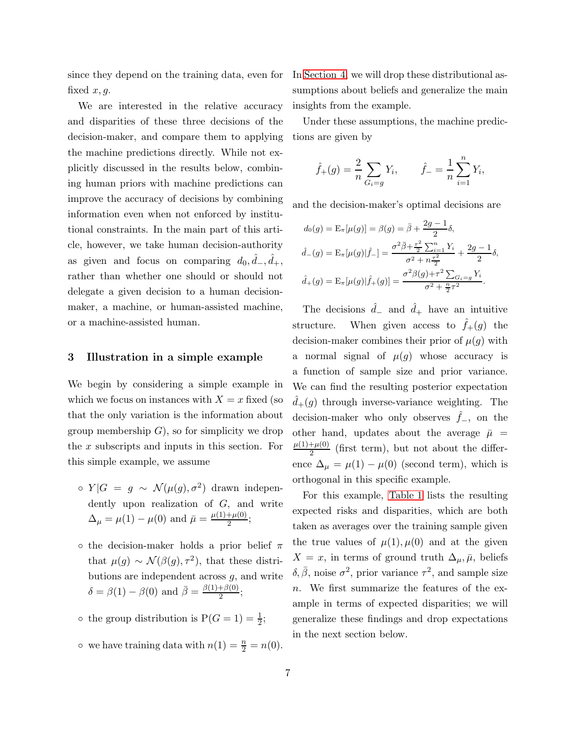since they depend on the training data, even for fixed  $x, q$ .

We are interested in the relative accuracy and disparities of these three decisions of the decision-maker, and compare them to applying the machine predictions directly. While not explicitly discussed in the results below, combining human priors with machine predictions can improve the accuracy of decisions by combining information even when not enforced by institutional constraints. In the main part of this article, however, we take human decision-authority as given and focus on comparing  $d_0, \hat{d}_-, \hat{d}_+,$ rather than whether one should or should not delegate a given decision to a human decisionmaker, a machine, or human-assisted machine, or a machine-assisted human.

## <span id="page-6-0"></span>3 Illustration in a simple example

We begin by considering a simple example in which we focus on instances with  $X = x$  fixed (so that the only variation is the information about group membership  $G$ , so for simplicity we drop the x subscripts and inputs in this section. For this simple example, we assume

- $\circ Y|G = g \sim \mathcal{N}(\mu(g), \sigma^2)$  drawn independently upon realization of G, and write  $\Delta_{\mu} = \mu(1) - \mu(0)$  and  $\bar{\mu} = \frac{\mu(1) + \mu(0)}{2}$  $\frac{+\mu(0)}{2};$
- o the decision-maker holds a prior belief  $\pi$ that  $\mu(g) \sim \mathcal{N}(\beta(g), \tau^2)$ , that these distributions are independent across  $g$ , and write  $\delta = \beta(1) - \beta(0)$  and  $\overline{\beta} = \frac{\beta(1) + \beta(0)}{2}$  $\frac{1}{2}$ ;
- the group distribution is  $P(G = 1) = \frac{1}{2}$ ;
- we have training data with  $n(1) = \frac{n}{2} = n(0)$ .

In [Section 4,](#page-8-0) we will drop these distributional assumptions about beliefs and generalize the main insights from the example.

Under these assumptions, the machine predictions are given by

$$
\hat{f}_+(g) = \frac{2}{n} \sum_{G_i=g} Y_i
$$
,  $\hat{f}_- = \frac{1}{n} \sum_{i=1}^n Y_i$ ,

and the decision-maker's optimal decisions are

$$
d_0(g) = \mathcal{E}_{\pi}[\mu(g)] = \beta(g) = \bar{\beta} + \frac{2g - 1}{2}\delta,
$$
  

$$
\hat{d}_{-}(g) = \mathcal{E}_{\pi}[\mu(g)|\hat{f}_{-}] = \frac{\sigma^2 \bar{\beta} + \frac{\tau^2}{2} \sum_{i=1}^n Y_i}{\sigma^2 + n\frac{\tau^2}{2}} + \frac{2g - 1}{2}\delta,
$$
  

$$
\hat{d}_{+}(g) = \mathcal{E}_{\pi}[\mu(g)|\hat{f}_{+}(g)] = \frac{\sigma^2 \beta(g) + \tau^2 \sum_{G_i = g} Y_i}{\sigma^2 + \frac{n}{2}\tau^2}.
$$

The decisions  $\hat{d}_-$  and  $\hat{d}_+$  have an intuitive structure. When given access to  $\hat{f}_+(g)$  the decision-maker combines their prior of  $\mu(g)$  with a normal signal of  $\mu(g)$  whose accuracy is a function of sample size and prior variance. We can find the resulting posterior expectation  $\hat{d}_{+}(g)$  through inverse-variance weighting. The decision-maker who only observes  $\hat{f}_-$ , on the other hand, updates about the average  $\bar{\mu}$  =  $\mu(1)+\mu(0)$  $\frac{f(\mu)}{2}$  (first term), but not about the difference  $\Delta_{\mu} = \mu(1) - \mu(0)$  (second term), which is orthogonal in this specific example.

For this example, [Table 1](#page-7-0) lists the resulting expected risks and disparities, which are both taken as averages over the training sample given the true values of  $\mu(1), \mu(0)$  and at the given  $X = x$ , in terms of ground truth  $\Delta_{\mu}, \bar{\mu}$ , beliefs  $\delta, \bar{\beta}$ , noise  $\sigma^2$ , prior variance  $\tau^2$ , and sample size n. We first summarize the features of the example in terms of expected disparities; we will generalize these findings and drop expectations in the next section below.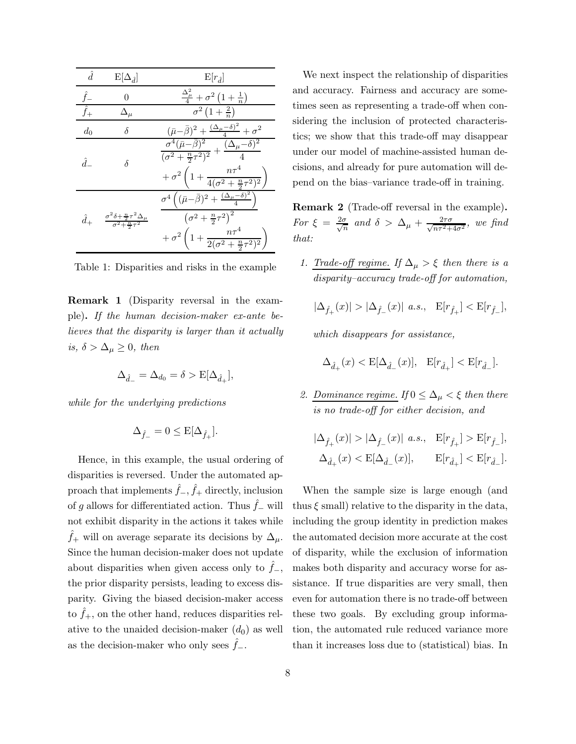| $\hat{d}$   | $E[\Delta_{\hat{d}}]$                                                                   | $E r_{\hat{d}} $                                                                                                                                                                                                                    |
|-------------|-----------------------------------------------------------------------------------------|-------------------------------------------------------------------------------------------------------------------------------------------------------------------------------------------------------------------------------------|
|             |                                                                                         | $\frac{\Delta_{\mu}^{2}}{4}+\sigma^{2}\left(1+\frac{1}{n}\right)$                                                                                                                                                                   |
| $\hat{f}_+$ |                                                                                         | $\sigma^2(1+\frac{2}{n})$                                                                                                                                                                                                           |
| $d_0$       | δ                                                                                       | $(\bar{\mu} - \bar{\beta})^2 + \frac{(\Delta_{\mu} - \delta)^2}{4} + \sigma^2$                                                                                                                                                      |
| $\hat{d}$   | δ                                                                                       | $\frac{\sigma^4(\bar\mu-\bar\beta)^2}{(\sigma^2+\frac{n}{2}\tau^2)^2}+\frac{(\Delta_\mu-\delta)^2}{4}$<br>$+\sigma^2\left(1+\frac{n\tau^4}{4(\sigma^2+\frac{n}{2}\tau^2)^2}\right)$                                                 |
| $\hat{d}_+$ | $\frac{\sigma^2 \delta + \frac{n}{2} \tau^2 \Delta_\mu}{\sigma^2 + \frac{n}{2} \tau^2}$ | $\sigma^4\left((\bar{\mu}-\bar{\beta})^2+\frac{(\Delta_\mu-\delta)^2}{4}\right)$<br>$\left(\sigma^2+\frac{n}{2}\tau^2\right)^2$<br>$\phantom{1+\frac{1}{2}}+\sigma^2\left(1+\frac{n\tau^4}{2(\sigma^2+\frac{n}{2}\tau^2)^2}\right)$ |

<span id="page-7-0"></span>Table 1: Disparities and risks in the example

<span id="page-7-1"></span>Remark 1 (Disparity reversal in the example). If the human decision-maker ex-ante believes that the disparity is larger than it actually is,  $\delta > \Delta_{\mu} \geq 0$ , then

$$
\Delta_{\hat{d}_-} = \Delta_{d_0} = \delta > \mathcal{E}[\Delta_{\hat{d}_+}],
$$

while for the underlying predictions

$$
\Delta_{\hat{f}_-} = 0 \leq \mathcal{E}[\Delta_{\hat{f}_+}].
$$

Hence, in this example, the usual ordering of disparities is reversed. Under the automated approach that implements  $\hat{f}_-, \hat{f}_+$  directly, inclusion of g allows for differentiated action. Thus  $\hat{f}_-$  will not exhibit disparity in the actions it takes while  $f_{+}$  will on average separate its decisions by  $\Delta_{\mu}$ . Since the human decision-maker does not update about disparities when given access only to  $f_-,$ the prior disparity persists, leading to excess disparity. Giving the biased decision-maker access to  $f_{+}$ , on the other hand, reduces disparities relative to the unaided decision-maker  $(d_0)$  as well as the decision-maker who only sees  $\hat{f}_-$ .

We next inspect the relationship of disparities and accuracy. Fairness and accuracy are sometimes seen as representing a trade-off when considering the inclusion of protected characteristics; we show that this trade-off may disappear under our model of machine-assisted human decisions, and already for pure automation will depend on the bias–variance trade-off in training.

<span id="page-7-2"></span>Remark 2 (Trade-off reversal in the example). For  $\xi = \frac{2\sigma}{\sqrt{r}}$  $\frac{\sigma}{n}$  and  $\delta$  >  $\Delta_{\mu} + \frac{2\tau\sigma}{\sqrt{n\tau^2 + 1}}$  $\frac{2\tau\sigma}{n\tau^2+4\sigma^2}$ , we find that:

1. Trade-off regime. If  $\Delta_{\mu} > \xi$  then there is a disparity–accuracy trade-off for automation,

$$
|\Delta_{\hat{f}_+}(x)|>|\Delta_{\hat{f}_-}(x)|\ a.s.,\quad {\bf E}[r_{\hat{f}_+}]<{\bf E}[r_{\hat{f}_-}],
$$

which disappears for assistance,

$$
\Delta_{\hat{d}_+}(x) < {\rm E}[\Delta_{\hat{d}_-}(x)], \ \ {\rm E}[r_{\hat{d}_+}] < {\rm E}[r_{\hat{d}_-}].
$$

2. Dominance regime. If  $0 \leq \Delta_{\mu} < \xi$  then there is no trade-off for either decision, and

$$
\begin{split} |\Delta_{\hat{f}_+}(x)|&>|\Delta_{\hat{f}_-}(x)|\ a.s.,\quad \mathbf{E}[r_{\hat{f}_+}]>\mathbf{E}[r_{\hat{f}_-}],\\ \Delta_{\hat{d}_+}(x)&<\mathbf{E}[\Delta_{\hat{d}_-}(x)],\qquad \mathbf{E}[r_{\hat{d}_+}]<\mathbf{E}[r_{\hat{d}_-}]. \end{split}
$$

When the sample size is large enough (and thus  $\xi$  small) relative to the disparity in the data, including the group identity in prediction makes the automated decision more accurate at the cost of disparity, while the exclusion of information makes both disparity and accuracy worse for assistance. If true disparities are very small, then even for automation there is no trade-off between these two goals. By excluding group information, the automated rule reduced variance more than it increases loss due to (statistical) bias. In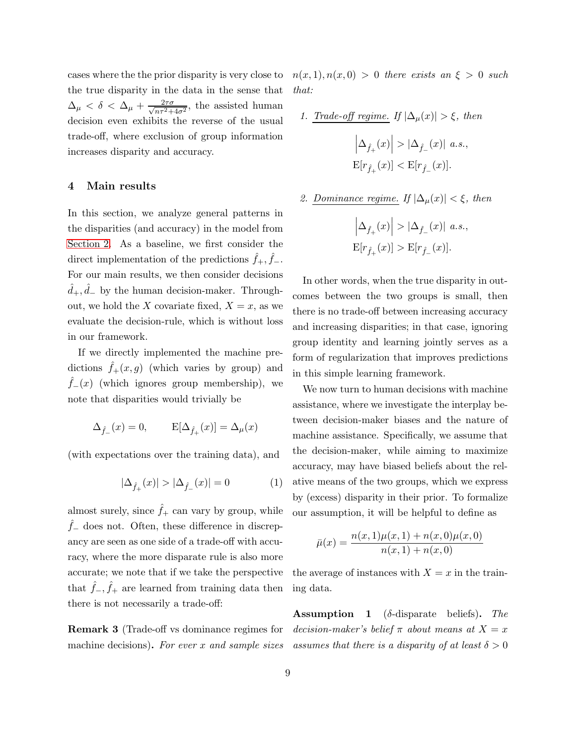cases where the the prior disparity is very close to the true disparity in the data in the sense that  $\Delta_{\mu} < \delta < \Delta_{\mu} + \frac{2\tau\sigma}{\sqrt{n\tau^2 + \mu^2}}$  $\frac{2\tau\sigma}{n\tau^2+4\sigma^2}$ , the assisted human decision even exhibits the reverse of the usual trade-off, where exclusion of group information increases disparity and accuracy.

## <span id="page-8-0"></span>4 Main results

In this section, we analyze general patterns in the disparities (and accuracy) in the model from [Section 2.](#page-4-0) As a baseline, we first consider the direct implementation of the predictions  $\hat{f}_+$ ,  $\hat{f}_-$ . For our main results, we then consider decisions  $\hat{d}_+$ ,  $\hat{d}_-$  by the human decision-maker. Throughout, we hold the X covariate fixed,  $X = x$ , as we evaluate the decision-rule, which is without loss in our framework.

If we directly implemented the machine predictions  $f_+(x, g)$  (which varies by group) and  $f_-(x)$  (which ignores group membership), we note that disparities would trivially be

$$
\Delta_{\hat{f}_-}(x) = 0, \qquad \mathbf{E}[\Delta_{\hat{f}_+}(x)] = \Delta_{\mu}(x)
$$

(with expectations over the training data), and

$$
|\Delta_{\hat{f}_+}(x)| > |\Delta_{\hat{f}_-}(x)| = 0 \tag{1}
$$

almost surely, since  $\hat{f}_+$  can vary by group, while  $\hat{f}_-$  does not. Often, these difference in discrepancy are seen as one side of a trade-off with accuracy, where the more disparate rule is also more accurate; we note that if we take the perspective that  $\hat{f}_-, \hat{f}_+$  are learned from training data then there is not necessarily a trade-off:

<span id="page-8-2"></span>Remark 3 (Trade-off vs dominance regimes for machine decisions). For ever  $x$  and sample sizes  $n(x, 1), n(x, 0) > 0$  there exists an  $\xi > 0$  such that:

1. *Trade-off regime.* If 
$$
|\Delta_{\mu}(x)| > \xi
$$
, then  

$$
\left|\Delta_{\hat{f}_+}(x)\right| > |\Delta_{\hat{f}_-}(x)| \ a.s.,
$$

$$
\mathbf{E}[r_{\hat{f}_+}(x)] < \mathbf{E}[r_{\hat{f}_-}(x)].
$$

2. Dominance regime. If 
$$
|\Delta_{\mu}(x)| < \xi
$$
, then

$$
\left|\Delta_{\hat f_+}(x)\right| > |\Delta_{\hat f_-}(x)| \ a.s.,
$$
  
 
$$
\mathrm{E}[r_{\hat f_+}(x)] > \mathrm{E}[r_{\hat f_-}(x)].
$$

In other words, when the true disparity in outcomes between the two groups is small, then there is no trade-off between increasing accuracy and increasing disparities; in that case, ignoring group identity and learning jointly serves as a form of regularization that improves predictions in this simple learning framework.

We now turn to human decisions with machine assistance, where we investigate the interplay between decision-maker biases and the nature of machine assistance. Specifically, we assume that the decision-maker, while aiming to maximize accuracy, may have biased beliefs about the relative means of the two groups, which we express by (excess) disparity in their prior. To formalize our assumption, it will be helpful to define as

<span id="page-8-1"></span>
$$
\bar{\mu}(x) = \frac{n(x, 1)\mu(x, 1) + n(x, 0)\mu(x, 0)}{n(x, 1) + n(x, 0)}
$$

the average of instances with  $X = x$  in the training data.

**Assumption 1** ( $\delta$ -disparate beliefs). The decision-maker's belief  $\pi$  about means at  $X = x$ assumes that there is a disparity of at least  $\delta > 0$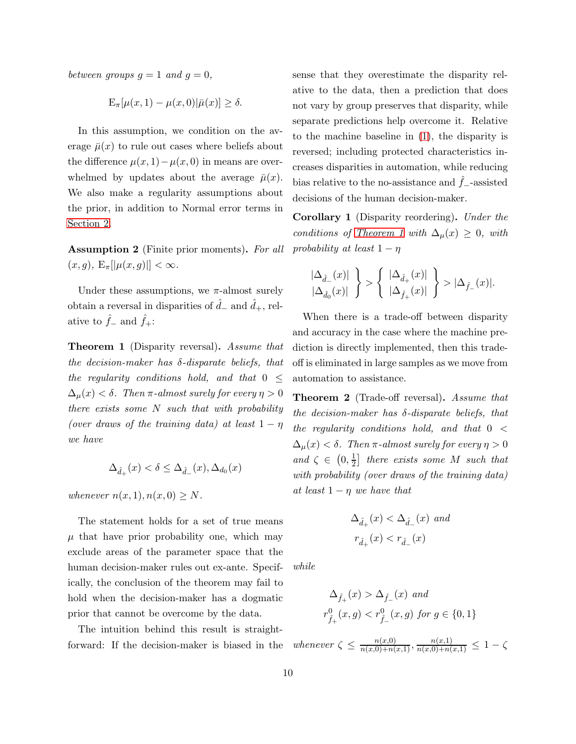between groups  $g = 1$  and  $g = 0$ ,

$$
\mathbf{E}_{\pi}[\mu(x,1)-\mu(x,0)|\bar{\mu}(x)] \geq \delta.
$$

In this assumption, we condition on the average  $\bar{\mu}(x)$  to rule out cases where beliefs about the difference  $\mu(x, 1) - \mu(x, 0)$  in means are overwhelmed by updates about the average  $\bar{\mu}(x)$ . We also make a regularity assumptions about the prior, in addition to Normal error terms in [Section 2.](#page-4-0)

Assumption 2 (Finite prior moments). For all  $(x, g), E_{\pi}[|\mu(x, g)|] < \infty.$ 

Under these assumptions, we  $\pi$ -almost surely obtain a reversal in disparities of  $\hat{d}_-$  and  $\hat{d}_+$ , relative to  $\hat{f}_-$  and  $\hat{f}_+$ :

<span id="page-9-0"></span>**Theorem 1** (Disparity reversal). Assume that the decision-maker has  $\delta$ -disparate beliefs, that the regularity conditions hold, and that  $0 \leq$  $\Delta_{\mu}(x) < \delta$ . Then  $\pi$ -almost surely for every  $\eta > 0$ there exists some  $N$  such that with probability (over draws of the training data) at least  $1 - \eta$ we have

$$
\Delta_{\hat{d}_+}(x) < \delta \le \Delta_{\hat{d}_-}(x), \Delta_{d_0}(x)
$$

whenever  $n(x, 1), n(x, 0) \geq N$ .

The statement holds for a set of true means  $\mu$  that have prior probability one, which may exclude areas of the parameter space that the human decision-maker rules out ex-ante. Specifically, the conclusion of the theorem may fail to hold when the decision-maker has a dogmatic prior that cannot be overcome by the data.

The intuition behind this result is straightforward: If the decision-maker is biased in the sense that they overestimate the disparity relative to the data, then a prediction that does not vary by group preserves that disparity, while separate predictions help overcome it. Relative to the machine baseline in [\(1\)](#page-8-1), the disparity is reversed; including protected characteristics increases disparities in automation, while reducing bias relative to the no-assistance and  $f_$ –assisted decisions of the human decision-maker.

<span id="page-9-1"></span>Corollary 1 (Disparity reordering). Under the conditions of [Theorem 1](#page-9-0) with  $\Delta_{\mu}(x) \geq 0$ , with probability at least  $1 - \eta$ 

$$
\frac{|\Delta_{\hat{d}_-}(x)|}{|\Delta_{\hat{d}_0}(x)|}\;\Bigg\}>\Bigg\{\;\frac{|\Delta_{\hat{d}_+}(x)|}{|\Delta_{\hat{f}_+}(x)|}\;\Bigg\}>|\Delta_{\hat{f}_-}(x)|.
$$

When there is a trade-off between disparity and accuracy in the case where the machine prediction is directly implemented, then this tradeoff is eliminated in large samples as we move from automation to assistance.

<span id="page-9-2"></span>Theorem 2 (Trade-off reversal). Assume that the decision-maker has  $\delta$ -disparate beliefs, that the regularity conditions hold, and that  $0 <$  $\Delta_{\mu}(x) < \delta$ . Then  $\pi$ -almost surely for every  $\eta > 0$ and  $\zeta \in (0, \frac{1}{2})$  $\frac{1}{2}$  there exists some M such that with probability (over draws of the training data) at least  $1 - \eta$  we have that

$$
\Delta_{\hat{d}_+}(x) < \Delta_{\hat{d}_-}(x) \text{ and}
$$
\n
$$
r_{\hat{d}_+}(x) < r_{\hat{d}_-}(x)
$$

while

$$
\Delta_{\hat{f}_+}(x) > \Delta_{\hat{f}_-}(x) \text{ and}
$$
  

$$
r^0_{\hat{f}_+}(x, g) < r^0_{\hat{f}_-}(x, g) \text{ for } g \in \{0, 1\}
$$

whenever  $\zeta \leq \frac{n(x,0)}{n(x,0)+n(x,1)}, \frac{n(x,1)}{n(x,0)+n(x,1)} \leq 1-\zeta$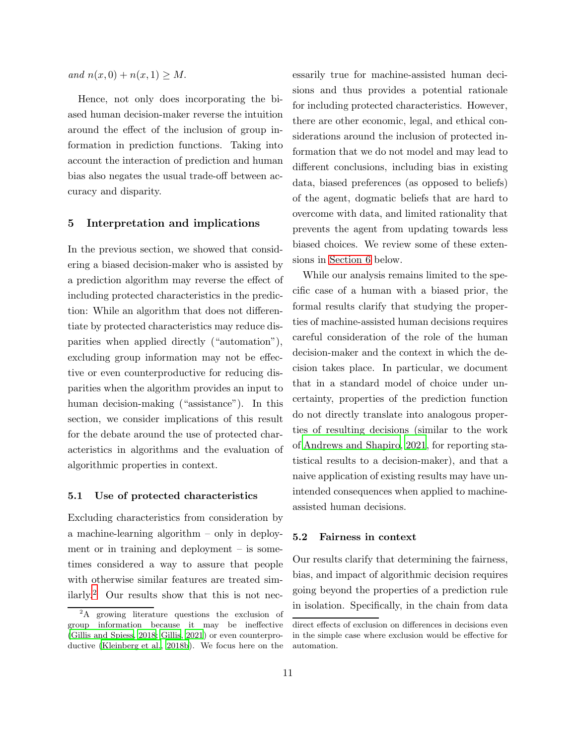and  $n(x, 0) + n(x, 1) \geq M$ .

Hence, not only does incorporating the biased human decision-maker reverse the intuition around the effect of the inclusion of group information in prediction functions. Taking into account the interaction of prediction and human bias also negates the usual trade-off between accuracy and disparity.

## <span id="page-10-0"></span>5 Interpretation and implications

In the previous section, we showed that considering a biased decision-maker who is assisted by a prediction algorithm may reverse the effect of including protected characteristics in the prediction: While an algorithm that does not differentiate by protected characteristics may reduce disparities when applied directly ("automation"), excluding group information may not be effective or even counterproductive for reducing disparities when the algorithm provides an input to human decision-making ("assistance"). In this section, we consider implications of this result for the debate around the use of protected characteristics in algorithms and the evaluation of algorithmic properties in context.

#### 5.1 Use of protected characteristics

Excluding characteristics from consideration by a machine-learning algorithm – only in deployment or in training and deployment – is sometimes considered a way to assure that people with otherwise similar features are treated similarly.[2](#page-10-1) Our results show that this is not nec-

essarily true for machine-assisted human decisions and thus provides a potential rationale for including protected characteristics. However, there are other economic, legal, and ethical considerations around the inclusion of protected information that we do not model and may lead to different conclusions, including bias in existing data, biased preferences (as opposed to beliefs) of the agent, dogmatic beliefs that are hard to overcome with data, and limited rationality that prevents the agent from updating towards less biased choices. We review some of these extensions in [Section 6](#page-11-0) below.

While our analysis remains limited to the specific case of a human with a biased prior, the formal results clarify that studying the properties of machine-assisted human decisions requires careful consideration of the role of the human decision-maker and the context in which the decision takes place. In particular, we document that in a standard model of choice under uncertainty, properties of the prediction function do not directly translate into analogous properties of resulting decisions (similar to the work of [Andrews and Shapiro, 2021](#page-13-6), for reporting statistical results to a decision-maker), and that a naive application of existing results may have unintended consequences when applied to machineassisted human decisions.

## 5.2 Fairness in context

Our results clarify that determining the fairness, bias, and impact of algorithmic decision requires going beyond the properties of a prediction rule in isolation. Specifically, in the chain from data

<span id="page-10-1"></span><sup>2</sup>A growing literature questions the exclusion of group information because it may be ineffective [\(Gillis and Spiess, 2018;](#page-14-4) [Gillis](#page-14-6), [2021](#page-14-6)) or even counterproductive [\(Kleinberg et al.](#page-15-8), [2018b\)](#page-15-8). We focus here on the

direct effects of exclusion on differences in decisions even in the simple case where exclusion would be effective for automation.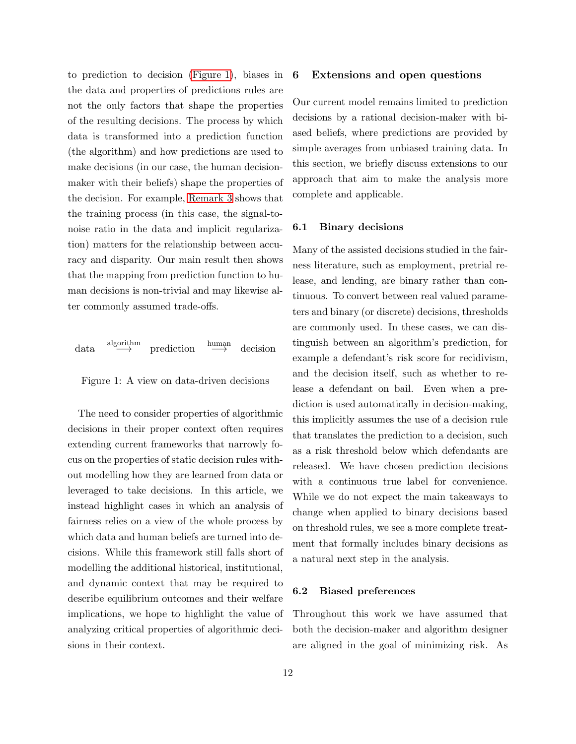to prediction to decision [\(Figure 1\)](#page-11-1), biases in the data and properties of predictions rules are not the only factors that shape the properties of the resulting decisions. The process by which data is transformed into a prediction function (the algorithm) and how predictions are used to make decisions (in our case, the human decisionmaker with their beliefs) shape the properties of the decision. For example, [Remark 3](#page-8-2) shows that the training process (in this case, the signal-tonoise ratio in the data and implicit regularization) matters for the relationship between accuracy and disparity. Our main result then shows that the mapping from prediction function to human decisions is non-trivial and may likewise alter commonly assumed trade-offs.

$$
\text{data} \xrightarrow{\text{algorithm}} \text{prediction} \xrightarrow{\text{human}} \text{decision}
$$

<span id="page-11-1"></span>

The need to consider properties of algorithmic decisions in their proper context often requires extending current frameworks that narrowly focus on the properties of static decision rules without modelling how they are learned from data or leveraged to take decisions. In this article, we instead highlight cases in which an analysis of fairness relies on a view of the whole process by which data and human beliefs are turned into decisions. While this framework still falls short of modelling the additional historical, institutional, and dynamic context that may be required to describe equilibrium outcomes and their welfare implications, we hope to highlight the value of analyzing critical properties of algorithmic decisions in their context.

## 6 Extensions and open questions

Our current model remains limited to prediction decisions by a rational decision-maker with biased beliefs, where predictions are provided by simple averages from unbiased training data. In this section, we briefly discuss extensions to our approach that aim to make the analysis more complete and applicable.

#### 6.1 Binary decisions

Many of the assisted decisions studied in the fairness literature, such as employment, pretrial release, and lending, are binary rather than continuous. To convert between real valued parameters and binary (or discrete) decisions, thresholds are commonly used. In these cases, we can distinguish between an algorithm's prediction, for example a defendant's risk score for recidivism, and the decision itself, such as whether to release a defendant on bail. Even when a prediction is used automatically in decision-making, this implicitly assumes the use of a decision rule that translates the prediction to a decision, such as a risk threshold below which defendants are released. We have chosen prediction decisions with a continuous true label for convenience. While we do not expect the main takeaways to change when applied to binary decisions based on threshold rules, we see a more complete treatment that formally includes binary decisions as a natural next step in the analysis.

## 6.2 Biased preferences

<span id="page-11-0"></span>Throughout this work we have assumed that both the decision-maker and algorithm designer are aligned in the goal of minimizing risk. As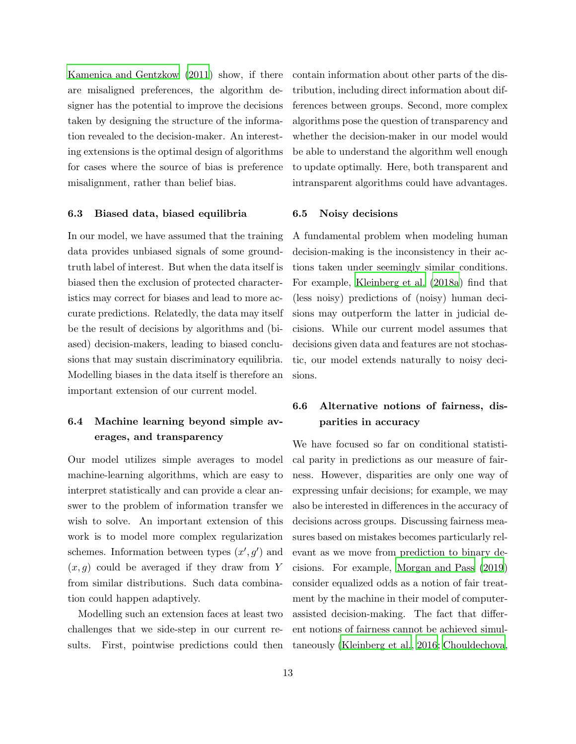[Kamenica and Gentzkow \(2011](#page-15-10)) show, if there are misaligned preferences, the algorithm designer has the potential to improve the decisions taken by designing the structure of the information revealed to the decision-maker. An interesting extensions is the optimal design of algorithms for cases where the source of bias is preference misalignment, rather than belief bias.

#### 6.3 Biased data, biased equilibria

In our model, we have assumed that the training data provides unbiased signals of some groundtruth label of interest. But when the data itself is biased then the exclusion of protected characteristics may correct for biases and lead to more accurate predictions. Relatedly, the data may itself be the result of decisions by algorithms and (biased) decision-makers, leading to biased conclusions that may sustain discriminatory equilibria. Modelling biases in the data itself is therefore an important extension of our current model.

# 6.4 Machine learning beyond simple averages, and transparency

Our model utilizes simple averages to model machine-learning algorithms, which are easy to interpret statistically and can provide a clear answer to the problem of information transfer we wish to solve. An important extension of this work is to model more complex regularization schemes. Information between types  $(x', g')$  and  $(x, g)$  could be averaged if they draw from Y from similar distributions. Such data combination could happen adaptively.

Modelling such an extension faces at least two challenges that we side-step in our current results. First, pointwise predictions could then contain information about other parts of the distribution, including direct information about differences between groups. Second, more complex algorithms pose the question of transparency and whether the decision-maker in our model would be able to understand the algorithm well enough to update optimally. Here, both transparent and intransparent algorithms could have advantages.

#### 6.5 Noisy decisions

A fundamental problem when modeling human decision-making is the inconsistency in their actions taken under seemingly similar conditions. For example, [Kleinberg et al. \(2018a](#page-15-11)) find that (less noisy) predictions of (noisy) human decisions may outperform the latter in judicial decisions. While our current model assumes that decisions given data and features are not stochastic, our model extends naturally to noisy decisions.

# 6.6 Alternative notions of fairness, disparities in accuracy

We have focused so far on conditional statistical parity in predictions as our measure of fairness. However, disparities are only one way of expressing unfair decisions; for example, we may also be interested in differences in the accuracy of decisions across groups. Discussing fairness measures based on mistakes becomes particularly relevant as we move from prediction to binary decisions. For example, [Morgan and Pass \(2019](#page-15-7)) consider equalized odds as a notion of fair treatment by the machine in their model of computerassisted decision-making. The fact that different notions of fairness cannot be achieved simultaneously [\(Kleinberg et al.](#page-15-2), [2016](#page-15-2); [Chouldechova,](#page-14-0)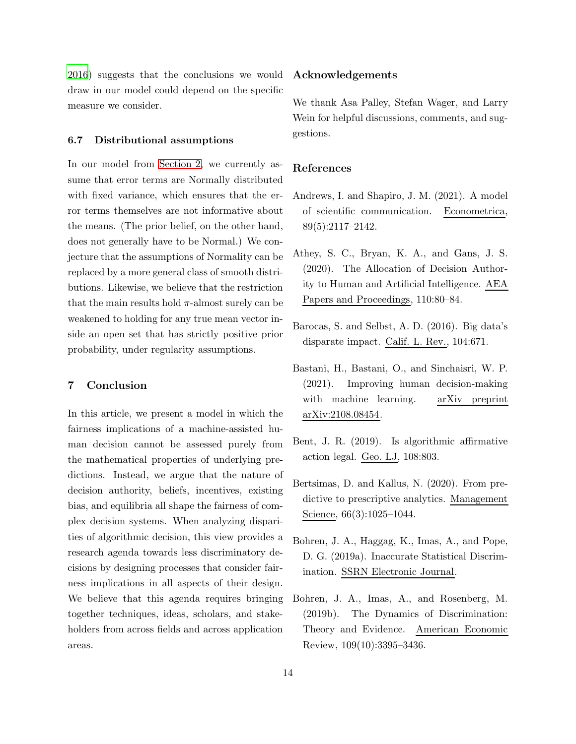[2016\)](#page-14-0) suggests that the conclusions we would draw in our model could depend on the specific measure we consider.

#### 6.7 Distributional assumptions

In our model from [Section 2,](#page-4-0) we currently assume that error terms are Normally distributed with fixed variance, which ensures that the error terms themselves are not informative about the means. (The prior belief, on the other hand, does not generally have to be Normal.) We conjecture that the assumptions of Normality can be replaced by a more general class of smooth distributions. Likewise, we believe that the restriction that the main results hold  $\pi$ -almost surely can be weakened to holding for any true mean vector inside an open set that has strictly positive prior probability, under regularity assumptions.

## <span id="page-13-8"></span>7 Conclusion

In this article, we present a model in which the fairness implications of a machine-assisted human decision cannot be assessed purely from the mathematical properties of underlying predictions. Instead, we argue that the nature of decision authority, beliefs, incentives, existing bias, and equilibria all shape the fairness of complex decision systems. When analyzing disparities of algorithmic decision, this view provides a research agenda towards less discriminatory decisions by designing processes that consider fairness implications in all aspects of their design. We believe that this agenda requires bringing together techniques, ideas, scholars, and stakeholders from across fields and across application areas.

## Acknowledgements

We thank Asa Palley, Stefan Wager, and Larry Wein for helpful discussions, comments, and suggestions.

#### References

- <span id="page-13-6"></span>Andrews, I. and Shapiro, J. M. (2021). A model of scientific communication. Econometrica, 89(5):2117–2142.
- <span id="page-13-4"></span>Athey, S. C., Bryan, K. A., and Gans, J. S. (2020). The Allocation of Decision Authority to Human and Artificial Intelligence. AEA Papers and Proceedings, 110:80–84.
- <span id="page-13-1"></span>Barocas, S. and Selbst, A. D. (2016). Big data's disparate impact. Calif. L. Rev., 104:671.
- <span id="page-13-3"></span>Bastani, H., Bastani, O., and Sinchaisri, W. P. (2021). Improving human decision-making with machine learning. arXiv preprint arXiv:2108.08454.
- <span id="page-13-2"></span>Bent, J. R. (2019). Is algorithmic affirmative action legal. Geo. LJ, 108:803.
- <span id="page-13-7"></span>Bertsimas, D. and Kallus, N. (2020). From predictive to prescriptive analytics. Management Science, 66(3):1025–1044.
- <span id="page-13-0"></span>Bohren, J. A., Haggag, K., Imas, A., and Pope, D. G. (2019a). Inaccurate Statistical Discrimination. SSRN Electronic Journal.
- <span id="page-13-5"></span>Bohren, J. A., Imas, A., and Rosenberg, M. (2019b). The Dynamics of Discrimination: Theory and Evidence. American Economic Review, 109(10):3395–3436.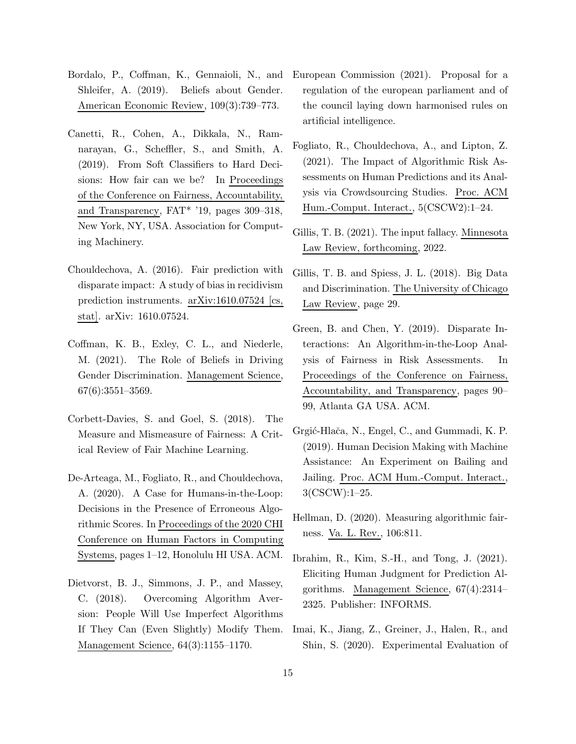- <span id="page-14-14"></span>Shleifer, A. (2019). Beliefs about Gender. American Economic Review, 109(3):739–773.
- <span id="page-14-15"></span><span id="page-14-11"></span>Canetti, R., Cohen, A., Dikkala, N., Ramnarayan, G., Scheffler, S., and Smith, A. (2019). From Soft Classifiers to Hard Decisions: How fair can we be? In Proceedings of the Conference on Fairness, Accountability, and Transparency, FAT\* '19, pages 309–318, New York, NY, USA. Association for Computing Machinery.
- <span id="page-14-6"></span><span id="page-14-4"></span><span id="page-14-0"></span>Chouldechova, A. (2016). Fair prediction with disparate impact: A study of bias in recidivism prediction instruments. arXiv:1610.07524 [cs, stat]. arXiv: 1610.07524.
- <span id="page-14-9"></span><span id="page-14-2"></span>Coffman, K. B., Exley, C. L., and Niederle, M. (2021). The Role of Beliefs in Driving Gender Discrimination. Management Science, 67(6):3551–3569.
- <span id="page-14-10"></span><span id="page-14-3"></span>Corbett-Davies, S. and Goel, S. (2018). The Measure and Mismeasure of Fairness: A Critical Review of Fair Machine Learning.
- <span id="page-14-12"></span><span id="page-14-5"></span>De-Arteaga, M., Fogliato, R., and Chouldechova, A. (2020). A Case for Humans-in-the-Loop: Decisions in the Presence of Erroneous Algorithmic Scores. In Proceedings of the 2020 CHI Conference on Human Factors in Computing Systems, pages 1–12, Honolulu HI USA. ACM.
- <span id="page-14-13"></span><span id="page-14-8"></span><span id="page-14-7"></span>Dietvorst, B. J., Simmons, J. P., and Massey, C. (2018). Overcoming Algorithm Aversion: People Will Use Imperfect Algorithms If They Can (Even Slightly) Modify Them. Management Science, 64(3):1155–1170.
- <span id="page-14-1"></span>Bordalo, P., Coffman, K., Gennaioli, N., and European Commission (2021). Proposal for a regulation of the european parliament and of the council laying down harmonised rules on artificial intelligence.
	- Fogliato, R., Chouldechova, A., and Lipton, Z. (2021). The Impact of Algorithmic Risk Assessments on Human Predictions and its Analysis via Crowdsourcing Studies. Proc. ACM Hum.-Comput. Interact., 5(CSCW2):1–24.
	- Gillis, T. B. (2021). The input fallacy. Minnesota Law Review, forthcoming, 2022.
	- Gillis, T. B. and Spiess, J. L. (2018). Big Data and Discrimination. The University of Chicago Law Review, page 29.
	- Green, B. and Chen, Y. (2019). Disparate Interactions: An Algorithm-in-the-Loop Analysis of Fairness in Risk Assessments. In Proceedings of the Conference on Fairness, Accountability, and Transparency, pages 90– 99, Atlanta GA USA. ACM.
	- Grgić-Hlača, N., Engel, C., and Gummadi, K. P. (2019). Human Decision Making with Machine Assistance: An Experiment on Bailing and Jailing. Proc. ACM Hum.-Comput. Interact., 3(CSCW):1–25.
	- Hellman, D. (2020). Measuring algorithmic fairness. Va. L. Rev., 106:811.
	- Ibrahim, R., Kim, S.-H., and Tong, J. (2021). Eliciting Human Judgment for Prediction Algorithms. Management Science, 67(4):2314– 2325. Publisher: INFORMS.
	- Imai, K., Jiang, Z., Greiner, J., Halen, R., and Shin, S. (2020). Experimental Evaluation of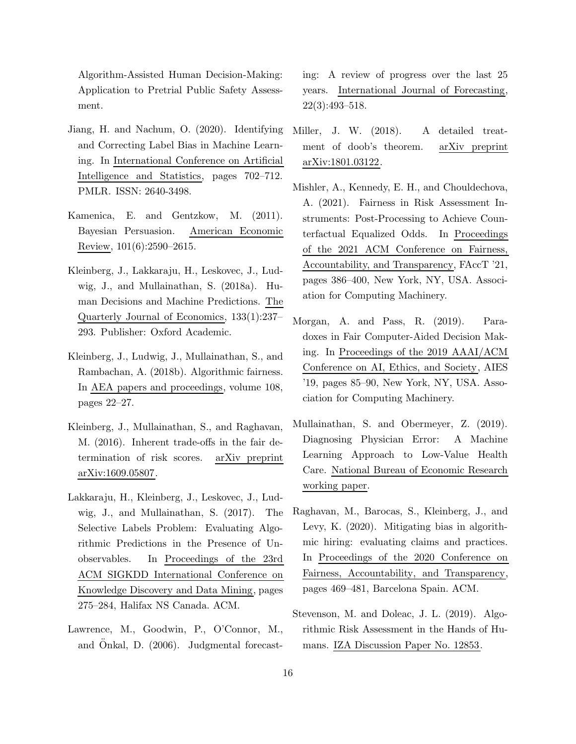Algorithm-Assisted Human Decision-Making: Application to Pretrial Public Safety Assessment.

- <span id="page-15-5"></span>Jiang, H. and Nachum, O. (2020). Identifying and Correcting Label Bias in Machine Learning. In International Conference on Artificial Intelligence and Statistics, pages 702–712. PMLR. ISSN: 2640-3498.
- <span id="page-15-10"></span>Kamenica, E. and Gentzkow, M. (2011). Bayesian Persuasion. American Economic Review, 101(6):2590–2615.
- <span id="page-15-11"></span>Kleinberg, J., Lakkaraju, H., Leskovec, J., Ludwig, J., and Mullainathan, S. (2018a). Human Decisions and Machine Predictions. The Quarterly Journal of Economics, 133(1):237– 293. Publisher: Oxford Academic.
- <span id="page-15-8"></span>Kleinberg, J., Ludwig, J., Mullainathan, S., and Rambachan, A. (2018b). Algorithmic fairness. In AEA papers and proceedings, volume 108, pages 22–27.
- <span id="page-15-2"></span>Kleinberg, J., Mullainathan, S., and Raghavan, M. (2016). Inherent trade-offs in the fair determination of risk scores. arXiv preprint arXiv:1609.05807.
- <span id="page-15-4"></span>Lakkaraju, H., Kleinberg, J., Leskovec, J., Ludwig, J., and Mullainathan, S. (2017). The Selective Labels Problem: Evaluating Algorithmic Predictions in the Presence of Unobservables. In Proceedings of the 23rd ACM SIGKDD International Conference on Knowledge Discovery and Data Mining, pages 275–284, Halifax NS Canada. ACM.
- <span id="page-15-3"></span>Lawrence, M., Goodwin, P., O'Connor, M., and Onkal, D.  $(2006)$ . Judgmental forecast-

ing: A review of progress over the last 25 years. International Journal of Forecasting, 22(3):493–518.

- <span id="page-15-12"></span>Miller, J. W. (2018). A detailed treatment of doob's theorem. arXiv preprint arXiv:1801.03122.
- <span id="page-15-9"></span>Mishler, A., Kennedy, E. H., and Chouldechova, A. (2021). Fairness in Risk Assessment Instruments: Post-Processing to Achieve Counterfactual Equalized Odds. In Proceedings of the 2021 ACM Conference on Fairness, Accountability, and Transparency, FAccT '21, pages 386–400, New York, NY, USA. Association for Computing Machinery.
- <span id="page-15-7"></span>Morgan, A. and Pass, R. (2019). Paradoxes in Fair Computer-Aided Decision Making. In Proceedings of the 2019 AAAI/ACM Conference on AI, Ethics, and Society, AIES '19, pages 85–90, New York, NY, USA. Association for Computing Machinery.
- <span id="page-15-0"></span>Mullainathan, S. and Obermeyer, Z. (2019). Diagnosing Physician Error: A Machine Learning Approach to Low-Value Health Care. National Bureau of Economic Research working paper.
- <span id="page-15-1"></span>Raghavan, M., Barocas, S., Kleinberg, J., and Levy, K. (2020). Mitigating bias in algorithmic hiring: evaluating claims and practices. In Proceedings of the 2020 Conference on Fairness, Accountability, and Transparency, pages 469–481, Barcelona Spain. ACM.
- <span id="page-15-6"></span>Stevenson, M. and Doleac, J. L. (2019). Algorithmic Risk Assessment in the Hands of Humans. IZA Discussion Paper No. 12853.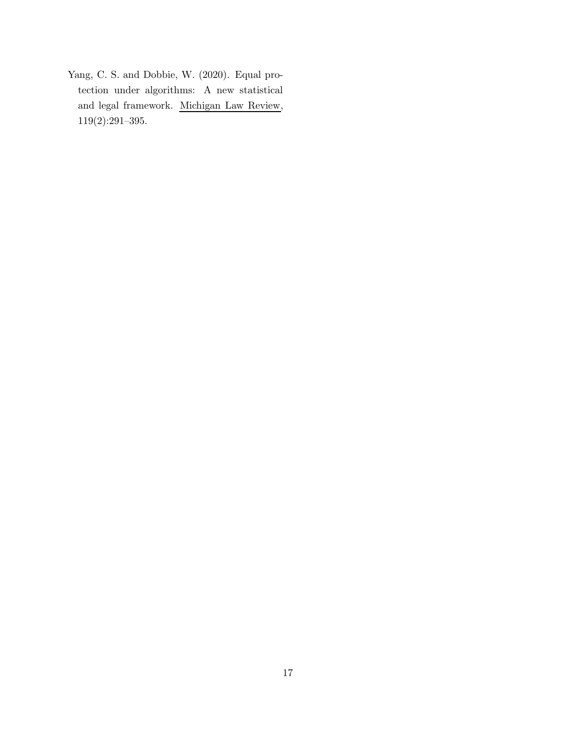<span id="page-16-0"></span>Yang, C. S. and Dobbie, W. (2020). Equal protection under algorithms: A new statistical and legal framework. Michigan Law Review, 119(2):291–395.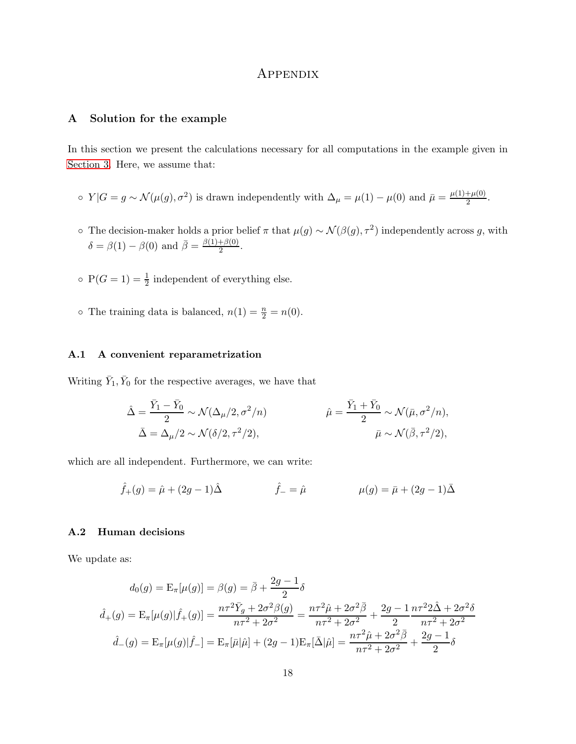## Appendix

## A Solution for the example

In this section we present the calculations necessary for all computations in the example given in [Section 3.](#page-6-0) Here, we assume that:

- ο  $Y|G = g \sim \mathcal{N}(\mu(g), \sigma^2)$  is drawn independently with  $\Delta_\mu = \mu(1) \mu(0)$  and  $\bar{\mu} = \frac{\mu(1) + \mu(0)}{2}$  $\frac{+\mu(0)}{2}$ .
- ∘ The decision-maker holds a prior belief π that  $\mu(g) \sim \mathcal{N}(\beta(g), \tau^2)$  independently across g, with  $\delta = \beta(1) - \beta(0)$  and  $\overline{\beta} = \frac{\beta(1) + \beta(0)}{2}$  $rac{+\rho(0)}{2}$ .
- $\circ$  P( $G = 1$ ) =  $\frac{1}{2}$  independent of everything else.
- The training data is balanced,  $n(1) = \frac{n}{2} = n(0)$ .

#### A.1 A convenient reparametrization

Writing  $\bar{Y}_1, \bar{Y}_0$  for the respective averages, we have that

$$
\hat{\Delta} = \frac{\bar{Y}_1 - \bar{Y}_0}{2} \sim \mathcal{N}(\Delta_{\mu}/2, \sigma^2/n) \qquad \hat{\mu} = \frac{\bar{Y}_1 + \bar{Y}_0}{2} \sim \mathcal{N}(\bar{\mu}, \sigma^2/n),
$$
  

$$
\bar{\Delta} = \Delta_{\mu}/2 \sim \mathcal{N}(\delta/2, \tau^2/2), \qquad \qquad \bar{\mu} \sim \mathcal{N}(\bar{\beta}, \tau^2/2),
$$

which are all independent. Furthermore, we can write:

$$
\hat{f}_{+}(g) = \hat{\mu} + (2g - 1)\hat{\Delta}
$$
  $\hat{f}_{-} = \hat{\mu}$   $\mu(g) = \bar{\mu} + (2g - 1)\bar{\Delta}$ 

## A.2 Human decisions

We update as:

$$
d_0(g) = \mathcal{E}_{\pi}[\mu(g)] = \beta(g) = \bar{\beta} + \frac{2g - 1}{2}\delta
$$
  

$$
\hat{d}_+(g) = \mathcal{E}_{\pi}[\mu(g)|\hat{f}_+(g)] = \frac{n\tau^2 \bar{Y}_g + 2\sigma^2 \beta(g)}{n\tau^2 + 2\sigma^2} = \frac{n\tau^2 \hat{\mu} + 2\sigma^2 \bar{\beta}}{n\tau^2 + 2\sigma^2} + \frac{2g - 1}{2} \frac{n\tau^2 2\hat{\Delta} + 2\sigma^2 \delta}{n\tau^2 + 2\sigma^2}
$$
  

$$
\hat{d}_-(g) = \mathcal{E}_{\pi}[\mu(g)|\hat{f}_-] = \mathcal{E}_{\pi}[\bar{\mu}|\hat{\mu}] + (2g - 1)\mathcal{E}_{\pi}[\bar{\Delta}|\hat{\mu}] = \frac{n\tau^2 \hat{\mu} + 2\sigma^2 \bar{\beta}}{n\tau^2 + 2\sigma^2} + \frac{2g - 1}{2}\delta
$$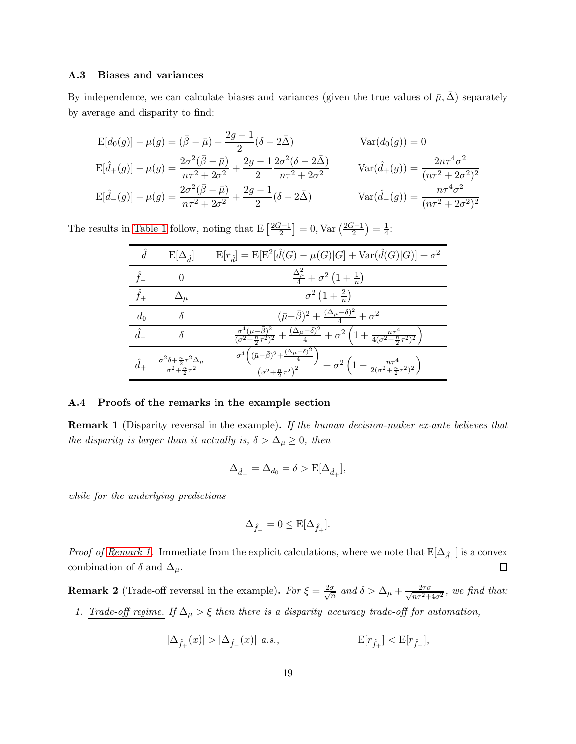## A.3 Biases and variances

By independence, we can calculate biases and variances (given the true values of  $\bar{\mu}, \Delta$ ) separately by average and disparity to find:

$$
E[d_0(g)] - \mu(g) = (\bar{\beta} - \bar{\mu}) + \frac{2g - 1}{2} (\delta - 2\bar{\Delta}) \qquad Var(d_0(g)) = 0
$$
  
\n
$$
E[\hat{d}_+(g)] - \mu(g) = \frac{2\sigma^2(\bar{\beta} - \bar{\mu})}{n\tau^2 + 2\sigma^2} + \frac{2g - 1}{2} \frac{2\sigma^2(\delta - 2\bar{\Delta})}{n\tau^2 + 2\sigma^2} \qquad Var(\hat{d}_+(g)) = \frac{2n\tau^4\sigma^2}{(n\tau^2 + 2\sigma^2)^2}
$$
  
\n
$$
E[\hat{d}_-(g)] - \mu(g) = \frac{2\sigma^2(\bar{\beta} - \bar{\mu})}{n\tau^2 + 2\sigma^2} + \frac{2g - 1}{2} (\delta - 2\bar{\Delta}) \qquad Var(\hat{d}_-(g)) = \frac{n\tau^4\sigma^2}{(n\tau^2 + 2\sigma^2)^2}
$$

The results in [Table 1](#page-7-0) follow, noting that  $E\left[\frac{2G-1}{2}\right] = 0$ ,  $Var\left(\frac{2G-1}{2}\right) = \frac{1}{4}$  $\frac{1}{4}$ :

|             | $E[\Delta_{\hat{d}}]$                                                                   | $E[r_{\hat{d}}] = E[E^2[\hat{d}(G) - \mu(G) G] + Var(\hat{d}(G) G)] + \sigma^2$                                                                                                                   |
|-------------|-----------------------------------------------------------------------------------------|---------------------------------------------------------------------------------------------------------------------------------------------------------------------------------------------------|
|             |                                                                                         | $\frac{\Delta_{\mu}^{2}}{4}+\sigma^{2}\left(1+\frac{1}{n}\right)$                                                                                                                                 |
| $\hat{f}_+$ |                                                                                         | $\sigma^2(1+\frac{2}{n})$                                                                                                                                                                         |
| $d_0$       |                                                                                         | $(\bar{\mu}-\bar{\beta})^2+\frac{(\Delta_{\mu}-\delta)^2}{4}+\sigma^2$                                                                                                                            |
| $\hat{d}$   |                                                                                         | $\frac{\sigma^4(\bar{\mu}-\bar{\beta})^2}{(\sigma^2+\frac{n}{2}\tau^2)^2}+\frac{(\Delta_\mu-\delta)^2}{4}+\sigma^2\left(1+\frac{n\tau^4}{4(\sigma^2+\frac{n}{2}\tau^2)^2}\right)$                 |
|             | $\frac{\sigma^2 \delta + \frac{n}{2} \tau^2 \Delta_\mu}{\sigma^2 + \frac{n}{2} \tau^2}$ | $\frac{\sigma^4 ((\bar{\mu}-\bar{\beta})^2 + \frac{(\Delta_{\mu}-\delta)^2}{4})}{(\sigma^2 + \frac{n}{2}\tau^2)^2} + \sigma^2 \left(1 + \frac{n\tau^4}{2(\sigma^2 + \frac{n}{2}\tau^2)^2}\right)$ |

## A.4 Proofs of the remarks in the example section

**Remark 1** (Disparity reversal in the example). If the human decision-maker ex-ante believes that the disparity is larger than it actually is,  $\delta > \Delta_{\mu} \geq 0$ , then

$$
\Delta_{\hat{d}_-} = \Delta_{d_0} = \delta > \mathcal{E}[\Delta_{\hat{d}_+}],
$$

while for the underlying predictions

$$
\Delta_{\hat{f}_-}=0\leq \mathrm{E}[\Delta_{\hat{f}_+}].
$$

*Proof of [Remark 1.](#page-7-1)* Immediate from the explicit calculations, where we note that  $E[\Delta_{\hat{d}_+}]$  is a convex combination of  $\delta$  and  $\Delta_{\mu}$ .  $\Box$ 

**Remark 2** (Trade-off reversal in the example). For  $\xi = \frac{2\sigma}{\sqrt{r}}$  $\frac{\sigma}{n}$  and  $\delta > \Delta_{\mu} + \frac{2\tau\sigma}{\sqrt{n\tau^2 + \mu^2}}$  $rac{2\tau\sigma}{n\tau^2+4\sigma^2}$ , we find that: 1. Trade-off regime. If  $\Delta_{\mu} > \xi$  then there is a disparity–accuracy trade-off for automation,

$$
|\Delta_{\hat{f}_+}(x)| > |\Delta_{\hat{f}_-}(x)| \ \ a.s., \qquad \qquad {\bf E}[r_{\hat{f}_+}] < {\bf E}[r_{\hat{f}_-}],
$$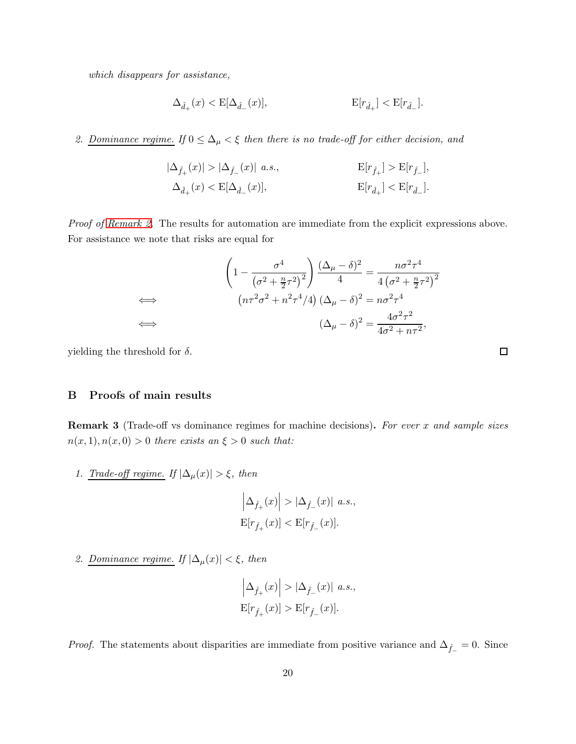which disappears for assistance,

$$
\Delta_{\hat{d}_+}(x)<\mathrm{E}[\Delta_{\hat{d}_-}(x)],\qquad \qquad \mathrm{E}[r_{\hat{d}_+}]<\mathrm{E}[r_{\hat{d}_-}].
$$

# 2. Dominance regime. If  $0 \leq \Delta_{\mu} < \xi$  then there is no trade-off for either decision, and

$$
\begin{aligned} |\Delta_{\hat{f}_+}(x)| > |\Delta_{\hat{f}_-}(x)| \ a.s., \qquad \qquad & \mathbf{E}[r_{\hat{f}_+}] > \mathbf{E}[r_{\hat{f}_-}],\\ \Delta_{\hat{d}_+}(x) < \mathbf{E}[\Delta_{\hat{d}_-}(x)], \qquad \qquad & \mathbf{E}[r_{\hat{d}_+}] < \mathbf{E}[r_{\hat{d}_-}]. \end{aligned}
$$

Proof of [Remark 2.](#page-7-2) The results for automation are immediate from the explicit expressions above. For assistance we note that risks are equal for

$$
\left(1 - \frac{\sigma^4}{\left(\sigma^2 + \frac{n}{2}\tau^2\right)^2}\right) \frac{(\Delta_\mu - \delta)^2}{4} = \frac{n\sigma^2\tau^4}{4\left(\sigma^2 + \frac{n}{2}\tau^2\right)^2}
$$
  
\n
$$
(n\tau^2\sigma^2 + n^2\tau^4/4) (\Delta_\mu - \delta)^2 = n\sigma^2\tau^4
$$
  
\n
$$
(\Delta_\mu - \delta)^2 = \frac{4\sigma^2\tau^2}{4\sigma^2 + n\tau^2},
$$

yielding the threshold for  $\delta$ .

## B Proofs of main results

**Remark 3** (Trade-off vs dominance regimes for machine decisions). For ever x and sample sizes  $n(x, 1), n(x, 0) > 0$  there exists an  $\xi > 0$  such that:

1. Trade-off regime. If  $|\Delta_\mu(x)|>\xi,$  then

$$
\left|\Delta_{\hat f_+}(x)\right| > |\Delta_{\hat f_-}(x)| \ a.s.,
$$
  
 
$$
\text{E}[r_{\hat f_+}(x)] < \text{E}[r_{\hat f_-}(x)].
$$

2. Dominance regime. If  $|\Delta_\mu(x)| < \xi,$  then

$$
\left|\Delta_{\hat{f}_+}(x)\right| > |\Delta_{\hat{f}_-}(x)| \ a.s.,
$$
  

$$
\mathrm{E}[r_{\hat{f}_+}(x)] > \mathrm{E}[r_{\hat{f}_-}(x)].
$$

*Proof.* The statements about disparities are immediate from positive variance and  $\Delta_{\hat{f}_-} = 0$ . Since

 $\Box$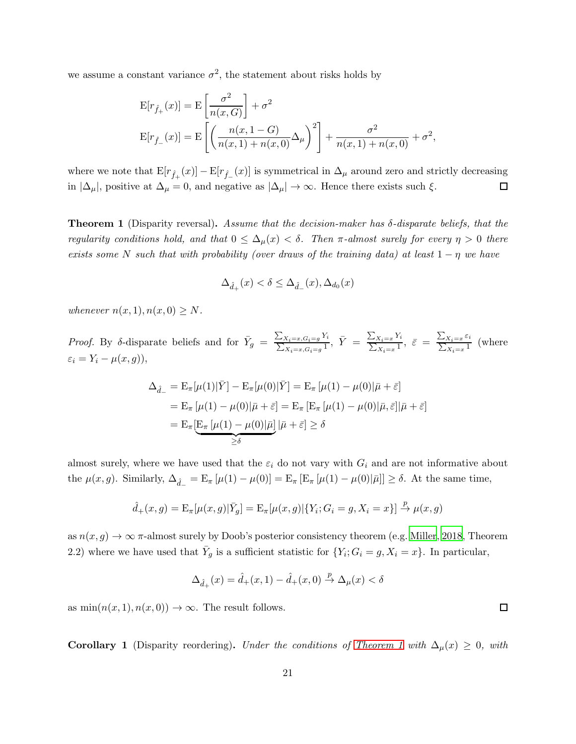we assume a constant variance  $\sigma^2$ , the statement about risks holds by

$$
E[r_{\hat{f}_{+}}(x)] = E\left[\frac{\sigma^{2}}{n(x, G)}\right] + \sigma^{2}
$$
  
\n
$$
E[r_{\hat{f}_{-}}(x)] = E\left[\left(\frac{n(x, 1 - G)}{n(x, 1) + n(x, 0)}\Delta_{\mu}\right)^{2}\right] + \frac{\sigma^{2}}{n(x, 1) + n(x, 0)} + \sigma^{2},
$$

where we note that  $E[r_{\hat{f}_+}(x)] - E[r_{\hat{f}_-}(x)]$  is symmetrical in  $\Delta_\mu$  around zero and strictly decreasing in  $|\Delta_\mu|$ , positive at  $\Delta_\mu = 0$ , and negative as  $|\Delta_\mu| \to \infty$ . Hence there exists such  $\xi$ .  $\Box$ 

Theorem 1 (Disparity reversal). Assume that the decision-maker has  $\delta$ -disparate beliefs, that the regularity conditions hold, and that  $0 \leq \Delta_{\mu}(x) < \delta$ . Then  $\pi$ -almost surely for every  $\eta > 0$  there exists some N such that with probability (over draws of the training data) at least  $1 - \eta$  we have

$$
\Delta_{\hat{d}_+}(x) < \delta \le \Delta_{\hat{d}_-}(x), \Delta_{d_0}(x)
$$

whenever  $n(x, 1), n(x, 0) \geq N$ .

*Proof.* By  $\delta$ -disparate beliefs and for  $\bar{Y}_g = \frac{\sum_{X_i=x,G_i=g} Y_i}{\sum_{X:=g,G=g} 1}$  $\frac{X_i=x, G_i=g Y_i}{X_i=x, G_i=g}$ ,  $\bar{Y} = \frac{\sum_{X_i=x} Y_i}{\sum_{X_i=x} 1}$  $\frac{X_i = x Y_i}{X_i = x^1}, \ \bar{\varepsilon} = \frac{\sum_{X_i = x} \varepsilon_i}{\sum_{X_i = x} 1}$  $\frac{X_i = x^{-i}}{X_i = x^{-1}}$  (where  $\varepsilon_i = Y_i - \mu(x, g)),$ 

$$
\Delta_{\hat{d}_-} = \mathcal{E}_{\pi}[\mu(1)|\bar{Y}] - \mathcal{E}_{\pi}[\mu(0)|\bar{Y}] = \mathcal{E}_{\pi}[\mu(1) - \mu(0)|\bar{\mu} + \bar{\varepsilon}]
$$
  
\n
$$
= \mathcal{E}_{\pi}[\mu(1) - \mu(0)|\bar{\mu} + \bar{\varepsilon}] = \mathcal{E}_{\pi}[\mathcal{E}_{\pi}[\mu(1) - \mu(0)|\bar{\mu}, \bar{\varepsilon}]|\bar{\mu} + \bar{\varepsilon}]
$$
  
\n
$$
= \mathcal{E}_{\pi}[\mathcal{E}_{\pi}[\mu(1) - \mu(0)|\bar{\mu}]}|\bar{\mu} + \bar{\varepsilon}] \ge \delta
$$

almost surely, where we have used that the  $\varepsilon_i$  do not vary with  $G_i$  and are not informative about the  $\mu(x, g)$ . Similarly,  $\Delta_{\hat{d}_-} = \mathbb{E}_{\pi} [\mu(1) - \mu(0)] = \mathbb{E}_{\pi} [\mathbb{E}_{\pi} [\mu(1) - \mu(0)|\bar{\mu}]] \ge \delta$ . At the same time,

$$
\hat{d}_+(x,g)=\mathrm{E}_\pi[\mu(x,g)|\bar{Y}_g]=\mathrm{E}_\pi[\mu(x,g)|\{Y_i;G_i=g,X_i=x\}]\overset{p}{\to}\mu(x,g)
$$

as  $n(x, g) \to \infty$   $\pi$ -almost surely by Doob's posterior consistency theorem (e.g. [Miller](#page-15-12), [2018,](#page-15-12) Theorem 2.2) where we have used that  $\bar{Y}_g$  is a sufficient statistic for  $\{Y_i; G_i = g, X_i = x\}$ . In particular,

$$
\Delta_{\hat{d}_+}(x) = \hat{d}_+(x,1) - \hat{d}_+(x,0) \stackrel{p}{\to} \Delta_\mu(x) < \delta
$$

as  $\min(n(x, 1), n(x, 0)) \rightarrow \infty$ . The result follows.

**Corollary 1** (Disparity reordering). Under the conditions of [Theorem 1](#page-9-0) with  $\Delta_{\mu}(x) \geq 0$ , with

 $\Box$